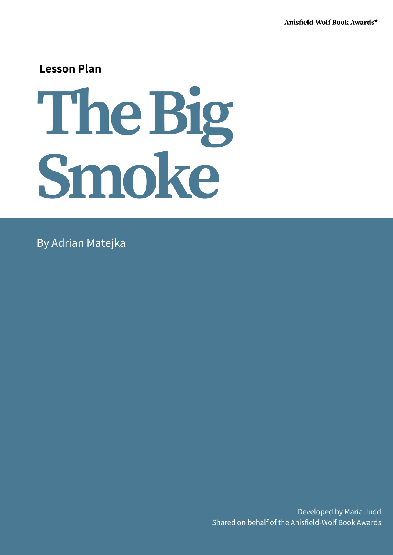## **Lesson Plan**

# **TheBig Smoke**

By Adrian Matejka

Developed by Maria Judd Shared on behalf of the Anisfield-Wolf Book Awards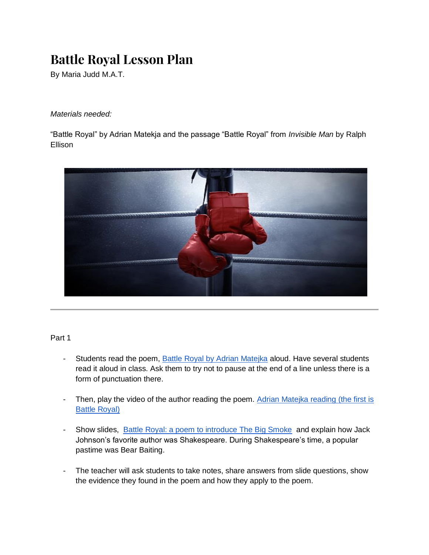# **Battle Royal Lesson Plan**

By Maria Judd M.A.T.

*Materials needed:*

"Battle Royal" by Adrian Matekja and the passage "Battle Royal" from *Invisible Man* by Ralph Ellison



### Part 1

- Students read the poem, [Battle Royal by Adrian Matejka](http://genius.com/Adrian-matejka-battle-royal-annotated/) aloud. Have several students read it aloud in class. Ask them to try not to pause at the end of a line unless there is a form of punctuation there.
- Then, play the video of the author reading the poem. Adrian Matejka reading (the first is [Battle Royal\)](https://www.youtube.com/watch?v=P7-EEjH91Tg)
- Show slides, [Battle Royal: a poem to introduce The Big Smoke](https://docs.google.com/presentation/d/10I452-bbox-mnScioHQDpDYG7Tp-eNVnBOsDAwnlmNY/edit#slide=id.g91747aabc7_0_5) and explain how Jack Johnson's favorite author was Shakespeare. During Shakespeare's time, a popular pastime was Bear Baiting.
- The teacher will ask students to take notes, share answers from slide questions, show the evidence they found in the poem and how they apply to the poem.